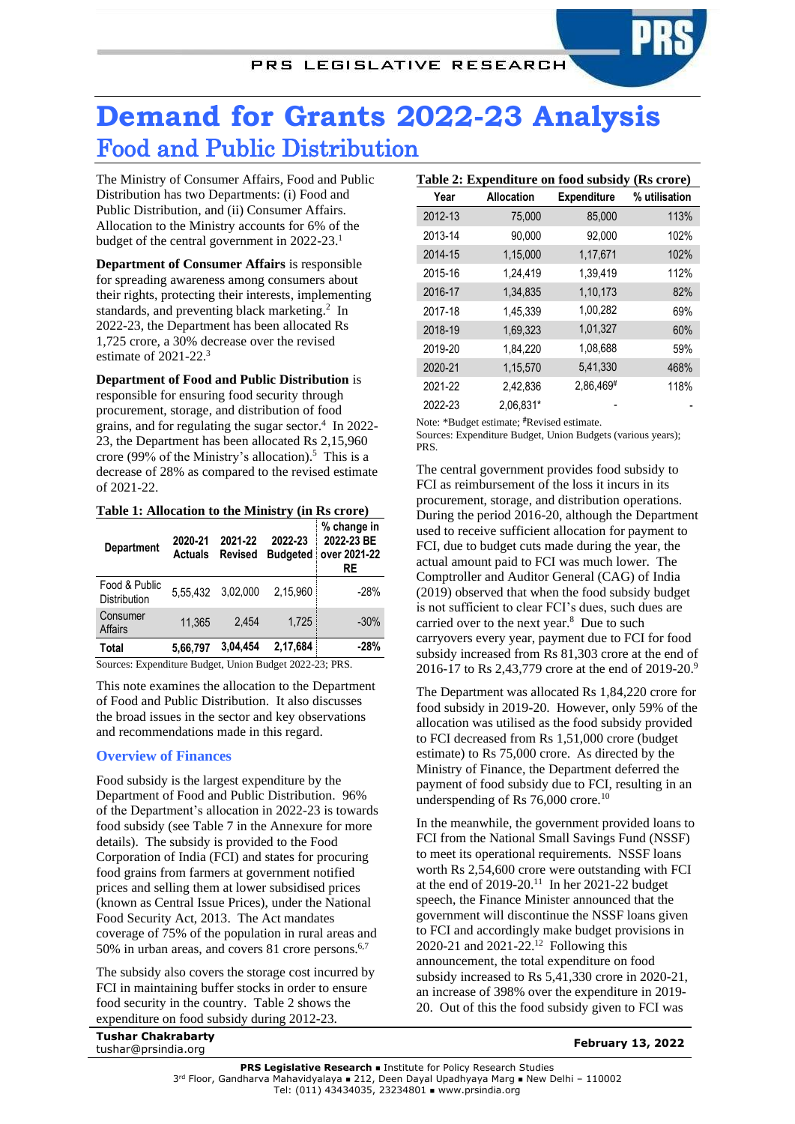# **Demand for Grants 2022-23 Analysis** Food and Public Distribution

The Ministry of Consumer Affairs, Food and Public Distribution has two Departments: (i) Food and Public Distribution, and (ii) Consumer Affairs. Allocation to the Ministry accounts for 6% of the budget of the central government in 2022-23. 1

**Department of Consumer Affairs** is responsible for spreading awareness among consumers about their rights, protecting their interests, implementing standards, and preventing black marketing.<sup>2</sup> In 2022-23, the Department has been allocated Rs 1,725 crore, a 30% decrease over the revised estimate of 2021-22. 3

**Department of Food and Public Distribution** is responsible for ensuring food security through procurement, storage, and distribution of food grains, and for regulating the sugar sector. 4 In 2022- 23, the Department has been allocated Rs 2,15,960 crore (99% of the Ministry's allocation). 5 This is a decrease of 28% as compared to the revised estimate of 2021-22.

**Table 1: Allocation to the Ministry (in Rs crore)**

| <b>Department</b>             | 2020-21<br><b>Actuals</b> | 2021-22<br><b>Revised</b> | 2022-23<br><b>Budgeted</b> | % change in<br>2022-23 BE<br>over 2021-22<br>RE |
|-------------------------------|---------------------------|---------------------------|----------------------------|-------------------------------------------------|
| Food & Public<br>Distribution | 5,55,432                  | 3.02.000                  | 2.15.960                   | $-28%$                                          |
| Consumer<br><b>Affairs</b>    | 11.365                    | 2.454                     | 1.725                      | $-30%$                                          |
| Total                         | 5,66,797                  | 3.04.454                  | 2,17,684                   | -28%                                            |

Sources: Expenditure Budget, Union Budget 2022-23; PRS.

This note examines the allocation to the Department of Food and Public Distribution. It also discusses the broad issues in the sector and key observations and recommendations made in this regard.

# **Overview of Finances**

Food subsidy is the largest expenditure by the Department of Food and Public Distribution. 96% of the Department's allocation in 2022-23 is towards food subsidy (see Table 7 in the Annexure for more details). The subsidy is provided to the Food Corporation of India (FCI) and states for procuring food grains from farmers at government notified prices and selling them at lower subsidised prices (known as Central Issue Prices), under the National Food Security Act, 2013. The Act mandates coverage of 75% of the population in rural areas and 50% in urban areas, and covers 81 crore persons. 6,7

The subsidy also covers the storage cost incurred by FCI in maintaining buffer stocks in order to ensure food security in the country. [Table 2](#page-0-0) shows the expenditure on food subsidy during 2012-23.

|         | Table 2: Expenditure on lood subsidy (RS crore) |                    |               |
|---------|-------------------------------------------------|--------------------|---------------|
| Year    | <b>Allocation</b>                               | <b>Expenditure</b> | % utilisation |
| 2012-13 | 75,000                                          | 85,000             | 113%          |
| 2013-14 | 90,000                                          | 92,000             | 102%          |
| 2014-15 | 1,15,000                                        | 1,17,671           | 102%          |
| 2015-16 | 1,24,419                                        | 1,39,419           | 112%          |
| 2016-17 | 1,34,835                                        | 1,10,173           | 82%           |
| 2017-18 | 1,45,339                                        | 1,00,282           | 69%           |
| 2018-19 | 1,69,323                                        | 1,01,327           | 60%           |
| 2019-20 | 1,84,220                                        | 1,08,688           | 59%           |
| 2020-21 | 1,15,570                                        | 5,41,330           | 468%          |
| 2021-22 | 2,42,836                                        | 2,86,469#          | 118%          |
| 2022-23 | 2.06.831*                                       |                    |               |

<span id="page-0-0"></span>**Table 2: Expenditure on food subsidy (Rs crore)**

Note: \*Budget estimate; #Revised estimate.

Sources: Expenditure Budget, Union Budgets (various years); PRS.

<span id="page-0-2"></span>The central government provides food subsidy to FCI as reimbursement of the loss it incurs in its procurement, storage, and distribution operations. During the period 2016-20, although the Department used to receive sufficient allocation for payment to FCI, due to budget cuts made during the year, the actual amount paid to FCI was much lower. The Comptroller and Auditor General (CAG) of India (2019) observed that when the food subsidy budget is not sufficient to clear FCI's dues, such dues are carried over to the next year.<sup>8</sup> Due to such carryovers every year, payment due to FCI for food subsidy increased from Rs 81,303 crore at the end of 2016-17 to Rs 2,43,779 crore at the end of 2019-20.<sup>9</sup>

The Department was allocated Rs 1,84,220 crore for food subsidy in 2019-20. However, only 59% of the allocation was utilised as the food subsidy provided to FCI decreased from Rs 1,51,000 crore (budget estimate) to Rs 75,000 crore. As directed by the Ministry of Finance, the Department deferred the payment of food subsidy due to FCI, resulting in an underspending of Rs 76,000 crore.<sup>10</sup>

<span id="page-0-1"></span>In the meanwhile, the government provided loans to FCI from the National Small Savings Fund (NSSF) to meet its operational requirements. NSSF loans worth Rs 2,54,600 crore were outstanding with FCI at the end of 2019-20.<sup>11</sup> In her 2021-22 budget speech, the Finance Minister announced that the government will discontinue the NSSF loans given to FCI and accordingly make budget provisions in 2020-21 and 2021-22.<sup>12</sup> Following this announcement, the total expenditure on food subsidy increased to Rs 5,41,330 crore in 2020-21, an increase of 398% over the expenditure in 2019- 20. Out of this the food subsidy given to FCI was

**Tushar Chakrabarty** tushar@prsindia.org **February 13, 2022**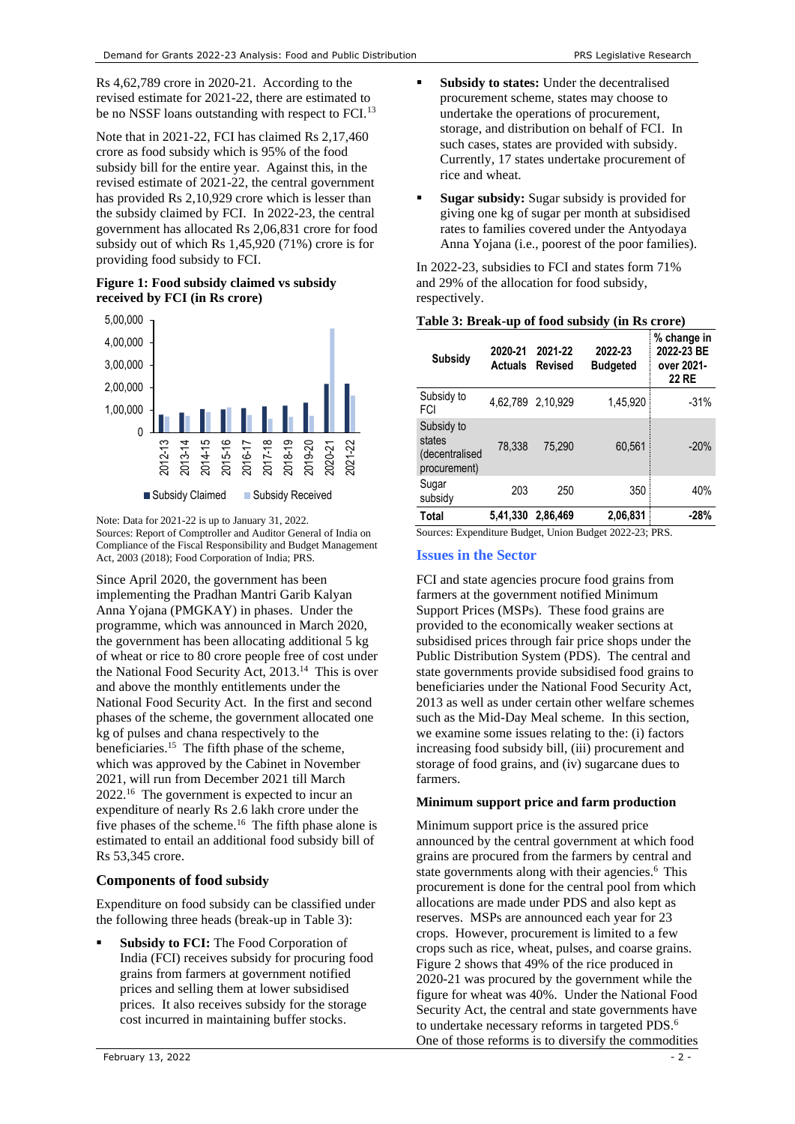Rs 4,62,789 crore in 2020-21. According to the revised estimate for 2021-22, there are estimated to be no NSSF loans outstanding with respect to FCI.<sup>13</sup>

Note that in 2021-22, FCI has claimed Rs 2,17,460 crore as food subsidy which is 95% of the food subsidy bill for the entire year. Against this, in the revised estimate of 2021-22, the central government has provided Rs 2,10,929 crore which is lesser than the subsidy claimed by FCI. In 2022-23, the central government has allocated Rs 2,06,831 crore for food subsidy out of which Rs 1,45,920 (71%) crore is for providing food subsidy to FCI.

# **Figure 1: Food subsidy claimed vs subsidy received by FCI (in Rs crore)**



Note: Data for 2021-22 is up to January 31, 2022. Sources: Report of Comptroller and Auditor General of India on Compliance of the Fiscal Responsibility and Budget Management Act, 2003 (2018); Food Corporation of India; PRS.

Since April 2020, the government has been implementing the Pradhan Mantri Garib Kalyan Anna Yojana (PMGKAY) in phases. Under the programme, which was announced in March 2020, the government has been allocating additional 5 kg of wheat or rice to 80 crore people free of cost under the National Food Security Act, 2013. 14 This is over and above the monthly entitlements under the National Food Security Act. In the first and second phases of the scheme, the government allocated one kg of pulses and chana respectively to the beneficiaries.<sup>15</sup> The fifth phase of the scheme, which was approved by the Cabinet in November 2021, will run from December 2021 till March 2022.<sup>16</sup> The government is expected to incur an expenditure of nearly Rs 2.6 lakh crore under the five phases of the scheme.<sup>[16](#page-1-0)</sup> The fifth phase alone is estimated to entail an additional food subsidy bill of Rs 53,345 crore.

# <span id="page-1-0"></span>**Components of food subsidy**

Expenditure on food subsidy can be classified under the following three heads (break-up i[n Table 3\)](#page-1-1):

**Subsidy to FCI:** The Food Corporation of India (FCI) receives subsidy for procuring food grains from farmers at government notified prices and selling them at lower subsidised prices. It also receives subsidy for the storage cost incurred in maintaining buffer stocks.

- **Subsidy to states:** Under the decentralised procurement scheme, states may choose to undertake the operations of procurement, storage, and distribution on behalf of FCI. In such cases, states are provided with subsidy. Currently, 17 states undertake procurement of rice and wheat.
- **Sugar subsidy:** Sugar subsidy is provided for giving one kg of sugar per month at subsidised rates to families covered under the Antyodaya Anna Yojana (i.e., poorest of the poor families).

In 2022-23, subsidies to FCI and states form 71% and 29% of the allocation for food subsidy, respectively.

<span id="page-1-1"></span>**Table 3: Break-up of food subsidy (in Rs crore)**

| Subsidy                                                | 2020-21<br><b>Actuals</b> | 2021-22<br>Revised | 2022-23<br><b>Budgeted</b> | % change in<br>2022-23 BE<br>over 2021-<br><b>22 RE</b> |
|--------------------------------------------------------|---------------------------|--------------------|----------------------------|---------------------------------------------------------|
| Subsidy to<br>FCI                                      |                           | 4,62,789 2,10,929  | 1,45,920                   | $-31%$                                                  |
| Subsidy to<br>states<br>(decentralised<br>procurement) | 78.338                    | 75,290             | 60,561                     | $-20%$                                                  |
| Sugar<br>subsidy                                       | 203                       | 250                | 350                        | 40%                                                     |
| Total                                                  | 5,41,330                  | 2.86.469           | 2,06,831                   | -28%                                                    |

Sources: Expenditure Budget, Union Budget 2022-23; PRS.

# **Issues in the Sector**

FCI and state agencies procure food grains from farmers at the government notified Minimum Support Prices (MSPs). These food grains are provided to the economically weaker sections at subsidised prices through fair price shops under the Public Distribution System (PDS). The central and state governments provide subsidised food grains to beneficiaries under the National Food Security Act, 2013 as well as under certain other welfare schemes such as the Mid-Day Meal scheme. In this section, we examine some issues relating to the: (i) factors increasing food subsidy bill, (iii) procurement and storage of food grains, and (iv) sugarcane dues to farmers.

# **Minimum support price and farm production**

Minimum support price is the assured price announced by the central government at which food grains are procured from the farmers by central and state governments along with their agencie[s.](#page-0-1) <sup>6</sup> This procurement is done for the central pool from which allocations are made under PDS and also kept as reserves. MSPs are announced each year for 23 crops. However, procurement is limited to a few crops such as rice, wheat, pulses, and coarse grains. Figure 2 shows that 49% of the rice produced in 2020-21 was procured by the government while the figure for wheat was 40%. Under the National Food Security Act, the central and state governments have to undertake necessary reforms in targeted PDS.<sup>6</sup> One of those reforms is to diversify the commodities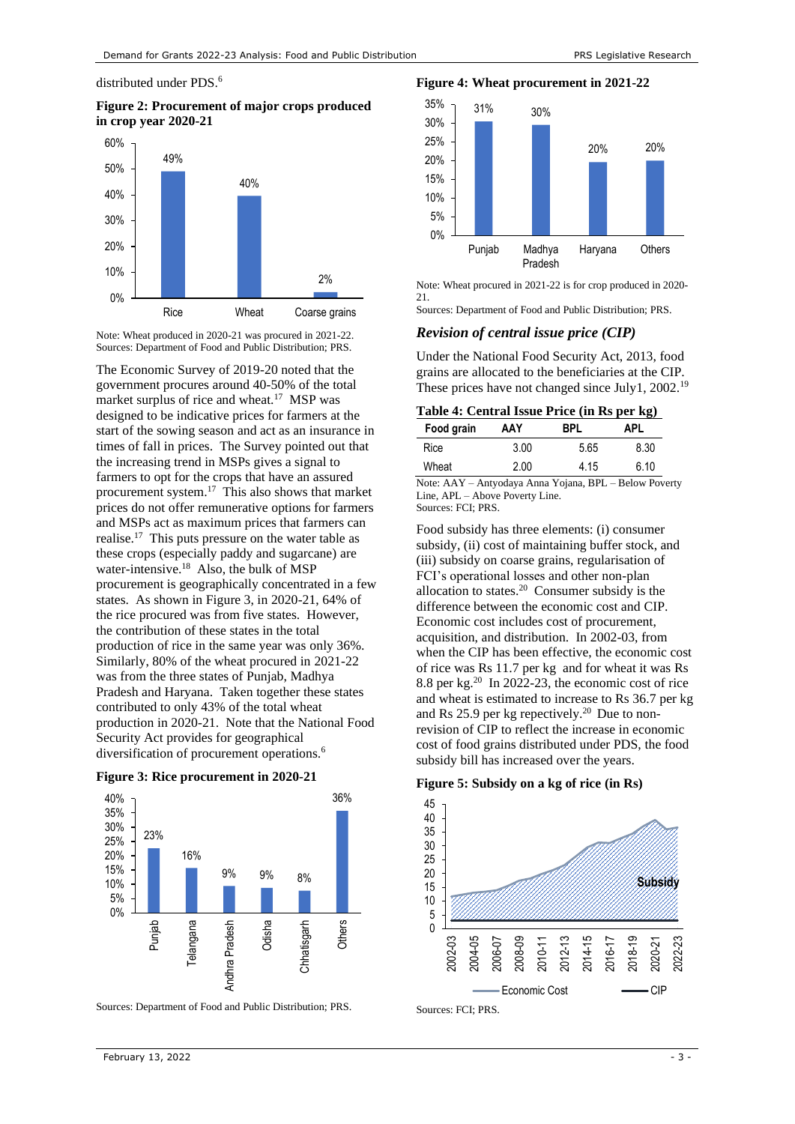distributed under PDS[.](#page-0-1)<sup>6</sup>

**Figure 2: Procurement of major crops produced in crop year 2020-21**



Note: Wheat produced in 2020-21 was procured in 2021-22. Sources: Department of Food and Public Distribution; PRS.

The Economic Survey of 2019-20 noted that the government procures around 40-50% of the total market surplus of rice and wheat.<sup>17</sup> MSP was designed to be indicative prices for farmers at the start of the sowing season and act as an insurance in times of fall in prices. The Survey pointed out that the increasing trend in MSPs gives a signal to farmers to opt for the crops that have an assured procurement system.<sup>[17](#page-2-0)</sup> This also shows that market prices do not offer remunerative options for farmers and MSPs act as maximum prices that farmers can realise.<sup>[17](#page-2-0)</sup> This puts pressure on the water table as these crops (especially paddy and sugarcane) are water-intensive.<sup>18</sup> Also, the bulk of MSP procurement is geographically concentrated in a few states. As shown in Figure 3, in 2020-21, 64% of the rice procured was from five states. However, the contribution of these states in the total production of rice in the same year was only 36%. Similarly, 80% of the wheat procured in 2021-22 was from the three states of Punjab, Madhya Pradesh and Haryana. Taken together these states contributed to only 43% of the total wheat production in 2020-21. Note that the National Food Security Act provides for geographical diversification of procurement operations[.](#page-0-1)<sup>6</sup>





Sources: Department of Food and Public Distribution; PRS.

**Figure 4: Wheat procurement in 2021-22** 35%



Note: Wheat procured in 2021-22 is for crop produced in 2020- 21.

Sources: Department of Food and Public Distribution; PRS.

### *Revision of central issue price (CIP)*

Under the National Food Security Act, 2013, food grains are allocated to the beneficiaries at the CIP. These prices have not changed since July1, 2002.<sup>19</sup>

<span id="page-2-0"></span>**Table 4: Central Issue Price (in Rs per kg)**

| Food grain | AAY  | RPI. | <b>APL</b> |
|------------|------|------|------------|
| Rice       | 3.00 | 5.65 | 8.30       |
| Wheat      | 2.00 | 4.15 | 6.10       |

Note: AAY – Antyodaya Anna Yojana, BPL – Below Poverty Line, APL – Above Poverty Line. Sources: FCI; PRS.

<span id="page-2-1"></span>Food subsidy has three elements: (i) consumer subsidy, (ii) cost of maintaining buffer stock, and (iii) subsidy on coarse grains, regularisation of FCI's operational losses and other non-plan allocation to states.<sup>20</sup> Consumer subsidy is the difference between the economic cost and CIP. Economic cost includes cost of procurement, acquisition, and distribution. In 2002-03, from when the CIP has been effective, the economic cost of rice was Rs 11.7 per kg and for wheat it was Rs 8.8 per kg. [20](#page-2-1) In 2022-23, the economic cost of rice and wheat is estimated to increase to Rs 36.7 per kg and Rs 25.9 per kg repectively.<sup>[20](#page-2-1)</sup> Due to nonrevision of CIP to reflect the increase in economic cost of food grains distributed under PDS, the food subsidy bill has increased over the years.

**Figure 5: Subsidy on a kg of rice (in Rs)**



Sources: FCI; PRS.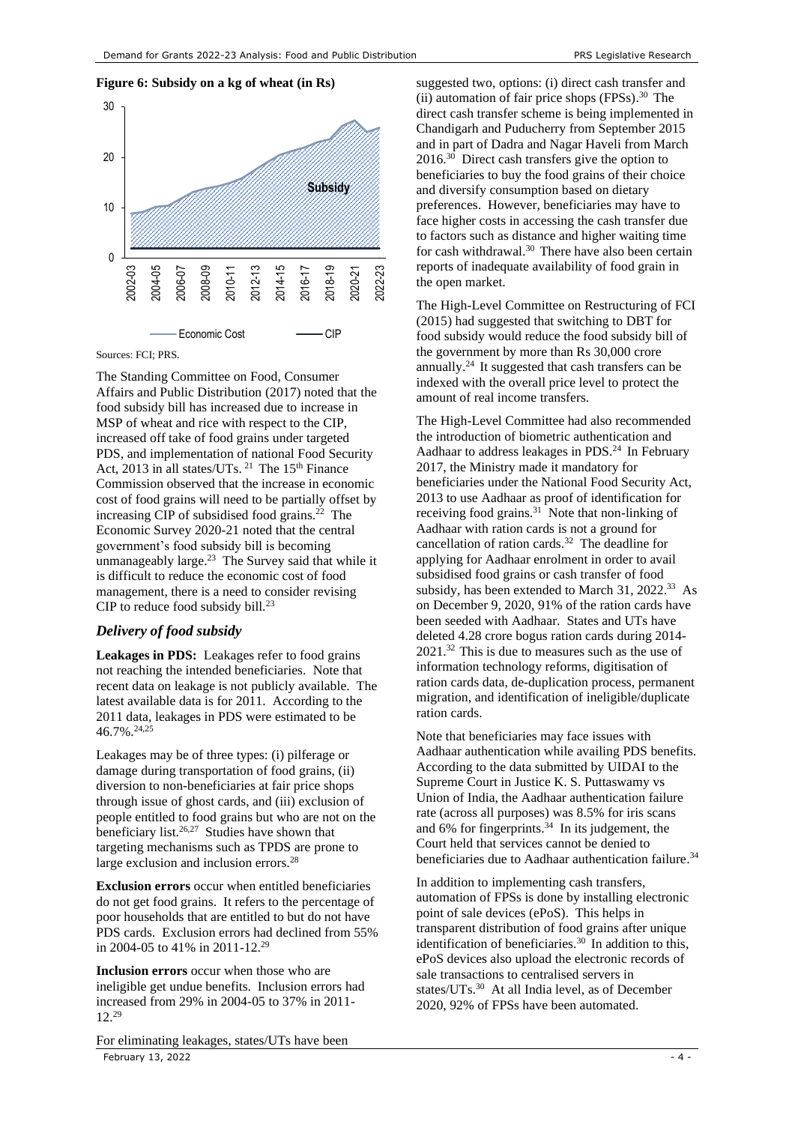## **Figure 6: Subsidy on a kg of wheat (in Rs)**



Sources: FCI; PRS.

The Standing Committee on Food, Consumer Affairs and Public Distribution (2017) noted that the food subsidy bill has increased due to increase in MSP of wheat and rice with respect to the CIP, increased off take of food grains under targeted PDS, and implementation of national Food Security Act, 2013 in all states/UTs. <sup>21</sup> The  $15<sup>th</sup>$  Finance Commission observed that the increase in economic cost of food grains will need to be partially offset by increasing CIP of subsidised food grains. $^{22}$  The Economic Survey 2020-21 noted that the central government's food subsidy bill is becoming unmanageably large. 23 The Survey said that while it is difficult to reduce the economic cost of food management, there is a need to consider revising CIP to reduce food subsidy bill.<sup>[23](#page-3-0)</sup>

## <span id="page-3-0"></span>*Delivery of food subsidy*

**Leakages in PDS:** Leakages refer to food grains not reaching the intended beneficiaries. Note that recent data on leakage is not publicly available. The latest available data is for 2011. According to the 2011 data, leakages in PDS were estimated to be 46.7%.24,25

<span id="page-3-3"></span>Leakages may be of three types: (i) pilferage or damage during transportation of food grains, (ii) diversion to non-beneficiaries at fair price shops through issue of ghost cards, and (iii) exclusion of people entitled to food grains but who are not on the beneficiary list. $26,27$  Studies have shown that targeting mechanisms such as TPDS are prone to large exclusion and inclusion errors.<sup>28</sup>

**Exclusion errors** occur when entitled beneficiaries do not get food grains. It refers to the percentage of poor households that are entitled to but do not have PDS cards. Exclusion errors had declined from 55% in 2004-05 to 41% in 2011-12.<sup>29</sup>

<span id="page-3-1"></span>**Inclusion errors** occur when those who are ineligible get undue benefits. Inclusion errors had increased from 29% in 2004-05 to 37% in 2011- 12.[29](#page-3-1)

February 13, 2022  $\sim$  4 -For eliminating leakages, states/UTs have been

<span id="page-3-4"></span>2017, the Ministry made it mandatory for beneficiaries under the National Food Security Act, 2013 to use Aadhaar as proof of identification for receiving food grains. $31$  Note that non-linking of Aadhaar with ration cards is not a ground for cancellation of ration cards.<sup>32</sup> The deadline for applying for Aadhaar enrolment in order to avail subsidised food grains or cash transfer of food subsidy, has been extended to March 31, 2022.<sup>33</sup> As on December 9, 2020, 91% of the ration cards have been seeded with Aadhaar. States and UTs have deleted 4.28 crore bogus ration cards during 2014- 2021. [32](#page-3-4) This is due to measures such as the use of information technology reforms, digitisation of ration cards data, de-duplication process, permanent migration, and identification of ineligible/duplicate ration cards.

Note that beneficiaries may face issues with Aadhaar authentication while availing PDS benefits. According to the data submitted by UIDAI to the Supreme Court in Justice K. S. Puttaswamy vs Union of India, the Aadhaar authentication failure rate (across all purposes) was 8.5% for iris scans and 6% for fingerprints. 34 In its judgement, the Court held that services cannot be denied to beneficiaries due to Aadhaar authentication failure.<sup>[34](#page-3-5)</sup>

<span id="page-3-5"></span>In addition to implementing cash transfers, automation of FPSs is done by installing electronic point of sale devices (ePoS). This helps in transparent distribution of food grains after unique identification of beneficiaries.<sup>[30](#page-3-2)</sup> In addition to this, ePoS devices also upload the electronic records of sale transactions to centralised servers in states/UTs.<sup>[30](#page-3-2)</sup> At all India level, as of December 2020, 92% of FPSs have been automated.

<span id="page-3-2"></span>suggested two, options: (i) direct cash transfer and (ii) automation of fair price shops (FPSs). <sup>30</sup> The direct cash transfer scheme is being implemented in Chandigarh and Puducherry from September 2015 and in part of Dadra and Nagar Haveli from March 2016.[30](#page-3-2) Direct cash transfers give the option to beneficiaries to buy the food grains of their choice and diversify consumption based on dietary preferences. However, beneficiaries may have to face higher costs in accessing the cash transfer due to factors such as distance and higher waiting time for cash withdrawal.<sup>[30](#page-3-2)</sup> There have also been certain reports of inadequate availability of food grain in the open market.

The High-Level Committee on Restructuring of FCI (2015) had suggested that switching to DBT for food subsidy would reduce the food subsidy bill of the government by more than Rs 30,000 crore annually. [24](#page-3-3) It suggested that cash transfers can be indexed with the overall price level to protect the amount of real income transfers.

The High-Level Committee had also recommended the introduction of biometric authentication and Aadhaar to address leakages in PDS.<sup>[24](#page-3-3)</sup> In February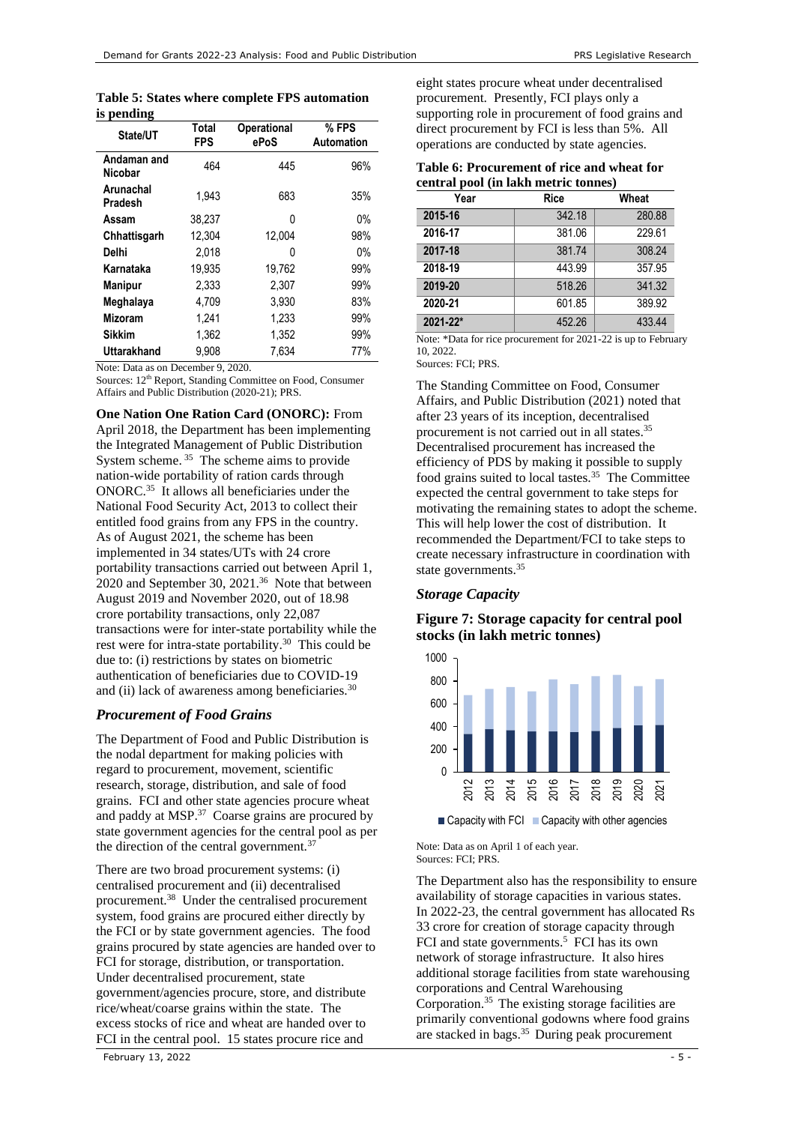|            |  |  | Table 5: States where complete FPS automation |
|------------|--|--|-----------------------------------------------|
| is pending |  |  |                                               |

| State/UT               | Total<br>FPS | <b>Operational</b><br>ePoS | % FPS<br>Automation |
|------------------------|--------------|----------------------------|---------------------|
| Andaman and<br>Nicobar | 464          | 445                        | 96%                 |
| Arunachal<br>Pradesh   | 1.943        | 683                        | 35%                 |
| Assam                  | 38.237       | U                          | 0%                  |
| Chhattisgarh           | 12,304       | 12,004                     | 98%                 |
| Delhi                  | 2.018        | O                          | 0%                  |
| Karnataka              | 19.935       | 19,762                     | 99%                 |
| <b>Manipur</b>         | 2.333        | 2.307                      | 99%                 |
| Meghalaya              | 4.709        | 3,930                      | 83%                 |
| <b>Mizoram</b>         | 1,241        | 1.233                      | 99%                 |
| <b>Sikkim</b>          | 1.362        | 1.352                      | 99%                 |
| <b>Uttarakhand</b>     | 9.908        | 7.634                      | 77%                 |

Note: Data as on December 9, 2020.

Sources: 12th Report, Standing Committee on Food, Consumer Affairs and Public Distribution (2020-21); PRS.

**One Nation One Ration Card (ONORC):** From

<span id="page-4-0"></span>April 2018, the Department has been implementing the Integrated Management of Public Distribution System scheme. <sup>35</sup> The scheme aims to provide nation-wide portability of ration cards through ONORC.[35](#page-4-0) It allows all beneficiaries under the National Food Security Act, 2013 to collect their entitled food grains from any FPS in the country. As of August 2021, the scheme has been implemented in 34 states/UTs with 24 crore portability transactions carried out between April 1, 2020 and September 30, 2021.<sup>36</sup> Note that between August 2019 and November 2020, out of 18.98 crore portability transactions, only 22,087 transactions were for inter-state portability while the rest were for intra-state portability.<sup>[30](#page-3-2)</sup> This could be due to: (i) restrictions by states on biometric authentication of beneficiaries due to COVID-19 and (ii) lack of awareness among beneficiaries.<sup>[30](#page-3-2)</sup>

# *Procurement of Food Grains*

The Department of Food and Public Distribution is the nodal department for making policies with regard to procurement, movement, scientific research, storage, distribution, and sale of food grains. FCI and other state agencies procure wheat and paddy at MSP.<sup>37</sup> Coarse grains are procured by state government agencies for the central pool as per the direction of the central government.<sup>[37](#page-4-1)</sup>

<span id="page-4-1"></span>There are two broad procurement systems: (i) centralised procurement and (ii) decentralised procurement.<sup>38</sup> Under the centralised procurement system, food grains are procured either directly by the FCI or by state government agencies. The food grains procured by state agencies are handed over to FCI for storage, distribution, or transportation. Under decentralised procurement, state government/agencies procure, store, and distribute rice/wheat/coarse grains within the state. The excess stocks of rice and wheat are handed over to FCI in the central pool. 15 states procure rice and

eight states procure wheat under decentralised procurement. Presently, FCI plays only a supporting role in procurement of food grains and direct procurement by FCI is less than 5%. All operations are conducted by state agencies.

| Table 6: Procurement of rice and wheat for |  |  |  |
|--------------------------------------------|--|--|--|
| central pool (in lakh metric tonnes)       |  |  |  |

| Year     | <b>Rice</b> | Wheat  |
|----------|-------------|--------|
| 2015-16  | 342.18      | 280.88 |
| 2016-17  | 381.06      | 229.61 |
| 2017-18  | 381.74      | 308.24 |
| 2018-19  | 443.99      | 357.95 |
| 2019-20  | 518.26      | 341.32 |
| 2020-21  | 601.85      | 389.92 |
| 2021-22* | 452.26      | 433.44 |

Note: \*Data for rice procurement for 2021-22 is up to February 10, 2022.

Sources: FCI; PRS.

The Standing Committee on Food, Consumer Affairs, and Public Distribution (2021) noted that after 23 years of its inception, decentralised procurement is not carried out in all states.[35](#page-4-0) Decentralised procurement has increased the efficiency of PDS by making it possible to supply food grains suited to local tastes.<sup>[35](#page-4-0)</sup> The Committee expected the central government to take steps for motivating the remaining states to adopt the scheme. This will help lower the cost of distribution. It recommended the Department/FCI to take steps to create necessary infrastructure in coordination with state governments.<sup>[35](#page-4-0)</sup>

# *Storage Capacity*

# **Figure 7: Storage capacity for central pool stocks (in lakh metric tonnes)**



 $\blacksquare$  Capacity with FCI  $\blacksquare$  Capacity with other agencies

Note: Data as on April 1 of each year. Sources: FCI; PRS.

The Department also has the responsibility to ensure availability of storage capacities in various states. In 2022-23, the central government has allocated Rs 33 crore for creation of storage capacity through FCI and state governments.<sup>[5](#page-0-2)</sup> FCI has its own network of storage infrastructure. It also hires additional storage facilities from state warehousing corporations and Central Warehousing Corporation. [35](#page-4-0) The existing storage facilities are primarily conventional godowns where food grains are stacked in bags.[35](#page-4-0) During peak procurement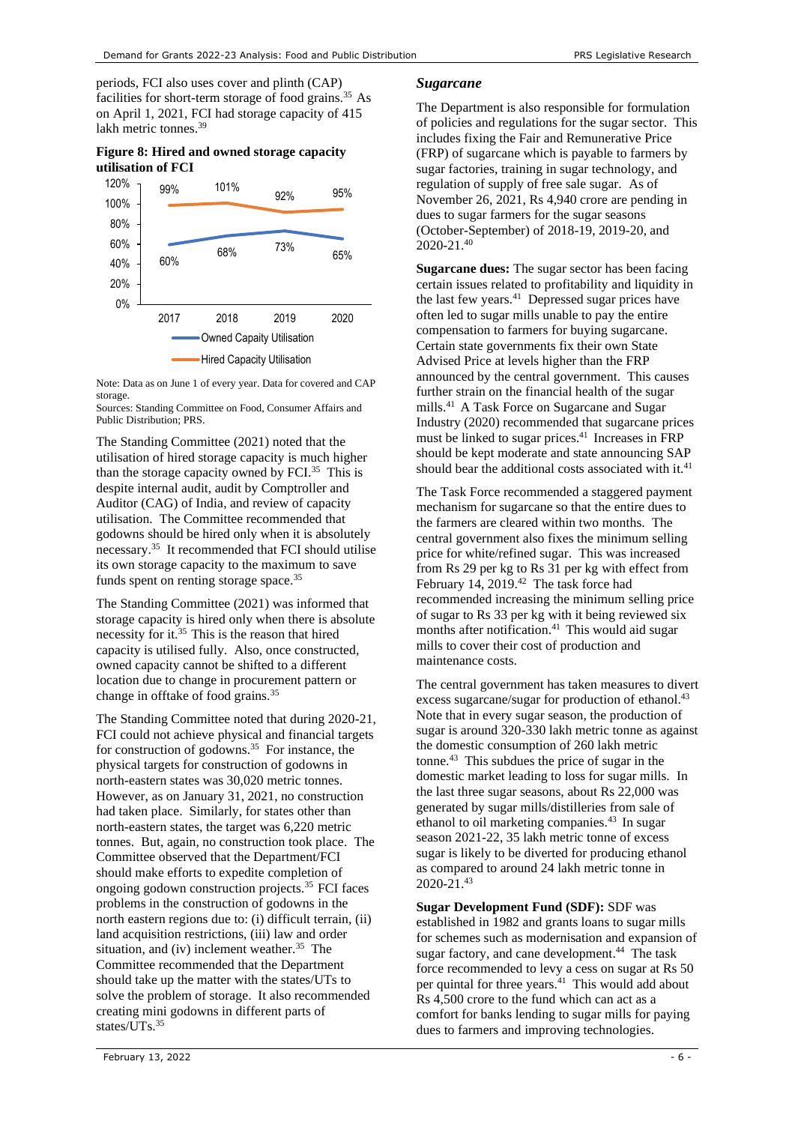periods, FCI also uses cover and plinth (CAP) facilities for short-term storage of food grains.<sup>35</sup> As on April 1, 2021, FCI had storage capacity of 415 lakh metric tonnes.<sup>39</sup>

# **Figure 8: Hired and owned storage capacity utilisation of FCI**



Note: Data as on June 1 of every year. Data for covered and CAP storage.

Sources: Standing Committee on Food, Consumer Affairs and Public Distribution; PRS.

The Standing Committee (2021) noted that the utilisation of hired storage capacity is much higher than the storage capacity owned by FCI.<sup>[35](#page-4-0)</sup> This is despite internal audit, audit by Comptroller and Auditor (CAG) of India, and review of capacity utilisation. The Committee recommended that godowns should be hired only when it is absolutely necessary. [35](#page-4-0) It recommended that FCI should utilise its own storage capacity to the maximum to save funds spent on renting storage space.<sup>[35](#page-4-0)</sup>

The Standing Committee (2021) was informed that storage capacity is hired only when there is absolute necessity for it.[35](#page-4-0) This is the reason that hired capacity is utilised fully. Also, once constructed, owned capacity cannot be shifted to a different location due to change in procurement pattern or change in offtake of food grains.[35](#page-4-0)

The Standing Committee noted that during 2020-21, FCI could not achieve physical and financial targets for construction of godowns. [35](#page-4-0) For instance, the physical targets for construction of godowns in north-eastern states was 30,020 metric tonnes. However, as on January 31, 2021, no construction had taken place. Similarly, for states other than north-eastern states, the target was 6,220 metric tonnes. But, again, no construction took place. The Committee observed that the Department/FCI should make efforts to expedite completion of ongoing godown construction projects.[35](#page-4-0) FCI faces problems in the construction of godowns in the north eastern regions due to: (i) difficult terrain, (ii) land acquisition restrictions, (iii) law and order situation, and (iv) inclement weather.<sup>[35](#page-4-0)</sup> The Committee recommended that the Department should take up the matter with the states/UTs to solve the problem of storage. It also recommended creating mini godowns in different parts of states/UTs. [35](#page-4-0)

### *Sugarcane*

The Department is also responsible for formulation of policies and regulations for the sugar sector. This includes fixing the Fair and Remunerative Price (FRP) of sugarcane which is payable to farmers by sugar factories, training in sugar technology, and regulation of supply of free sale sugar. As of November 26, 2021, Rs 4,940 crore are pending in dues to sugar farmers for the sugar seasons (October-September) of 2018-19, 2019-20, and 2020-21. 40

<span id="page-5-0"></span>**Sugarcane dues:** The sugar sector has been facing certain issues related to profitability and liquidity in the last few years. $41$  Depressed sugar prices have often led to sugar mills unable to pay the entire compensation to farmers for buying sugarcane. Certain state governments fix their own State Advised Price at levels higher than the FRP announced by the central government. This causes further strain on the financial health of the sugar mills.[41](#page-5-0) A Task Force on Sugarcane and Sugar Industry (2020) recommended that sugarcane prices must be linked to sugar prices.[41](#page-5-0) Increases in FRP should be kept moderate and state announcing SAP should bear the additional costs associated with it.<sup>41</sup>

The Task Force recommended a staggered payment mechanism for sugarcane so that the entire dues to the farmers are cleared within two months. The central government also fixes the minimum selling price for white/refined sugar. This was increased from Rs 29 per kg to Rs 31 per kg with effect from February 14, 2019.<sup>42</sup> The task force had recommended increasing the minimum selling price of sugar to Rs 33 per kg with it being reviewed six months after notification.<sup>[41](#page-5-0)</sup> This would aid sugar mills to cover their cost of production and maintenance costs.

<span id="page-5-1"></span>The central government has taken measures to divert excess sugarcane/sugar for production of ethanol.<sup>43</sup> Note that in every sugar season, the production of sugar is around 320-330 lakh metric tonne as against the domestic consumption of 260 lakh metric tonne.[43](#page-5-1) This subdues the price of sugar in the domestic market leading to loss for sugar mills. In the last three sugar seasons, about Rs 22,000 was generated by sugar mills/distilleries from sale of ethanol to oil marketing companies.[43](#page-5-1) In sugar season 2021-22, 35 lakh metric tonne of excess sugar is likely to be diverted for producing ethanol as compared to around 24 lakh metric tonne in 2020-21. [43](#page-5-1) 

**Sugar Development Fund (SDF):** SDF was established in 1982 and grants loans to sugar mills for schemes such as modernisation and expansion of sugar factory, and cane development. 44 The task force recommended to levy a cess on sugar at Rs 50 per quintal for three years. [41](#page-5-0) This would add about Rs 4,500 crore to the fund which can act as a comfort for banks lending to sugar mills for paying dues to farmers and improving technologies.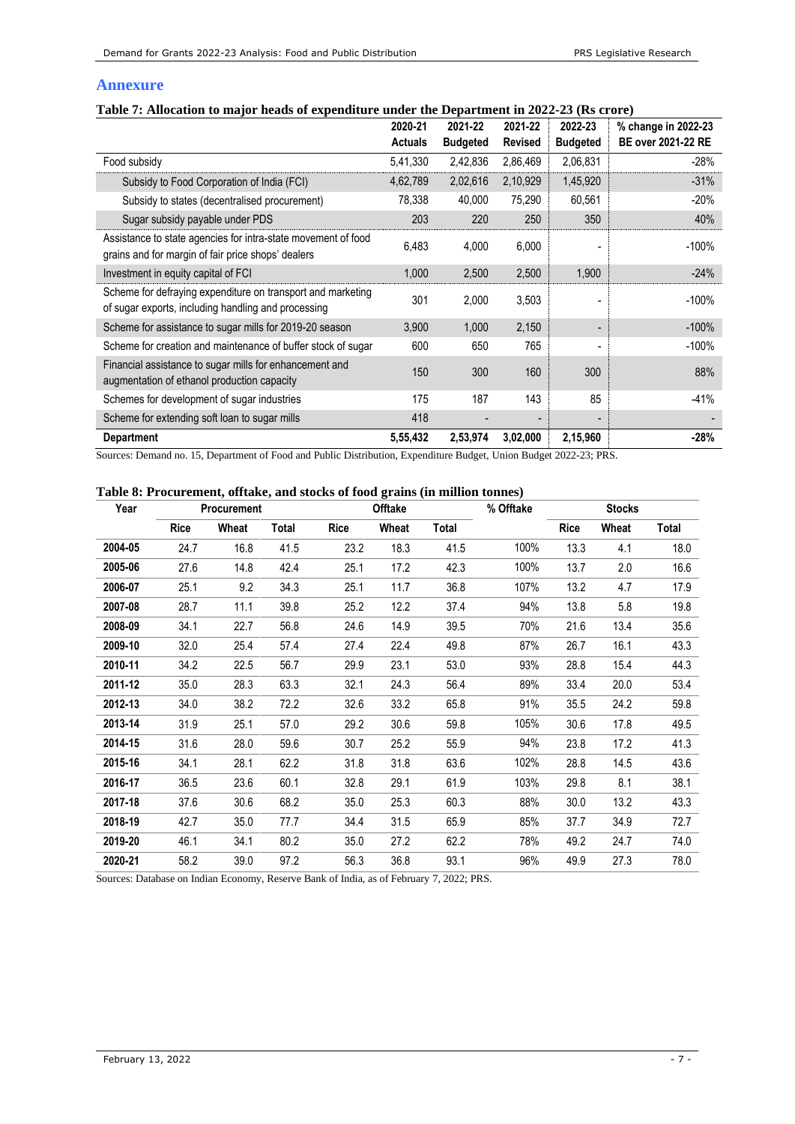# **Annexure**

# **Table 7: Allocation to major heads of expenditure under the Department in 2022-23 (Rs crore)**

|                                                                                                                     | 2020-21        | 2021-22         | 2021-22        | 2022-23                      | % change in 2022-23       |
|---------------------------------------------------------------------------------------------------------------------|----------------|-----------------|----------------|------------------------------|---------------------------|
|                                                                                                                     | <b>Actuals</b> | <b>Budgeted</b> | <b>Revised</b> | <b>Budgeted</b>              | <b>BE over 2021-22 RE</b> |
| Food subsidy                                                                                                        | 5,41,330       | 2,42,836        | 2,86,469       | 2,06,831                     | $-28%$                    |
| Subsidy to Food Corporation of India (FCI)                                                                          | 4,62,789       | 2,02,616        | 2,10,929       | 1,45,920                     | $-31%$                    |
| Subsidy to states (decentralised procurement)                                                                       | 78,338         | 40,000          | 75,290         | 60,561                       | $-20%$                    |
| Sugar subsidy payable under PDS                                                                                     | 203            | 220             | 250            | 350                          | 40%                       |
| Assistance to state agencies for intra-state movement of food<br>grains and for margin of fair price shops' dealers | 6,483          | 4,000           | 6,000          |                              | $-100%$                   |
| Investment in equity capital of FCI                                                                                 | 1,000          | 2,500           | 2,500          | 1,900                        | $-24%$                    |
| Scheme for defraying expenditure on transport and marketing<br>of sugar exports, including handling and processing  | 301            | 2,000           | 3,503          |                              | $-100%$                   |
| Scheme for assistance to sugar mills for 2019-20 season                                                             | 3,900          | 1,000           | 2,150          | -                            | $-100%$                   |
| Scheme for creation and maintenance of buffer stock of sugar                                                        | 600            | 650             | 765            | $\qquad \qquad \blacksquare$ | $-100%$                   |
| Financial assistance to sugar mills for enhancement and<br>augmentation of ethanol production capacity              | 150            | 300             | 160            | 300                          | 88%                       |
| Schemes for development of sugar industries                                                                         | 175            | 187             | 143            | 85                           | $-41%$                    |
| Scheme for extending soft loan to sugar mills                                                                       | 418            |                 |                |                              |                           |
| <b>Department</b>                                                                                                   | 5,55,432       | 2,53,974        | 3,02,000       | 2,15,960                     | $-28%$                    |

Sources: Demand no. 15, Department of Food and Public Distribution, Expenditure Budget, Union Budget 2022-23; PRS.

## **Table 8: Procurement, offtake, and stocks of food grains (in million tonnes)**

| Year    |             | <b>Procurement</b> |       |      | Offtake |       | % Offtake |             | <b>Stocks</b> |       |
|---------|-------------|--------------------|-------|------|---------|-------|-----------|-------------|---------------|-------|
|         | <b>Rice</b> | Wheat              | Total | Rice | Wheat   | Total |           | <b>Rice</b> | Wheat         | Total |
| 2004-05 | 24.7        | 16.8               | 41.5  | 23.2 | 18.3    | 41.5  | 100%      | 13.3        | 4.1           | 18.0  |
| 2005-06 | 27.6        | 14.8               | 42.4  | 25.1 | 17.2    | 42.3  | 100%      | 13.7        | 2.0           | 16.6  |
| 2006-07 | 25.1        | 9.2                | 34.3  | 25.1 | 11.7    | 36.8  | 107%      | 13.2        | 4.7           | 17.9  |
| 2007-08 | 28.7        | 11.1               | 39.8  | 25.2 | 12.2    | 37.4  | 94%       | 13.8        | 5.8           | 19.8  |
| 2008-09 | 34.1        | 22.7               | 56.8  | 24.6 | 14.9    | 39.5  | 70%       | 21.6        | 13.4          | 35.6  |
| 2009-10 | 32.0        | 25.4               | 57.4  | 27.4 | 22.4    | 49.8  | 87%       | 26.7        | 16.1          | 43.3  |
| 2010-11 | 34.2        | 22.5               | 56.7  | 29.9 | 23.1    | 53.0  | 93%       | 28.8        | 15.4          | 44.3  |
| 2011-12 | 35.0        | 28.3               | 63.3  | 32.1 | 24.3    | 56.4  | 89%       | 33.4        | 20.0          | 53.4  |
| 2012-13 | 34.0        | 38.2               | 72.2  | 32.6 | 33.2    | 65.8  | 91%       | 35.5        | 24.2          | 59.8  |
| 2013-14 | 31.9        | 25.1               | 57.0  | 29.2 | 30.6    | 59.8  | 105%      | 30.6        | 17.8          | 49.5  |
| 2014-15 | 31.6        | 28.0               | 59.6  | 30.7 | 25.2    | 55.9  | 94%       | 23.8        | 17.2          | 41.3  |
| 2015-16 | 34.1        | 28.1               | 62.2  | 31.8 | 31.8    | 63.6  | 102%      | 28.8        | 14.5          | 43.6  |
| 2016-17 | 36.5        | 23.6               | 60.1  | 32.8 | 29.1    | 61.9  | 103%      | 29.8        | 8.1           | 38.1  |
| 2017-18 | 37.6        | 30.6               | 68.2  | 35.0 | 25.3    | 60.3  | 88%       | 30.0        | 13.2          | 43.3  |
| 2018-19 | 42.7        | 35.0               | 77.7  | 34.4 | 31.5    | 65.9  | 85%       | 37.7        | 34.9          | 72.7  |
| 2019-20 | 46.1        | 34.1               | 80.2  | 35.0 | 27.2    | 62.2  | 78%       | 49.2        | 24.7          | 74.0  |
| 2020-21 | 58.2        | 39.0               | 97.2  | 56.3 | 36.8    | 93.1  | 96%       | 49.9        | 27.3          | 78.0  |

Sources: Database on Indian Economy, Reserve Bank of India, as of February 7, 2022; PRS.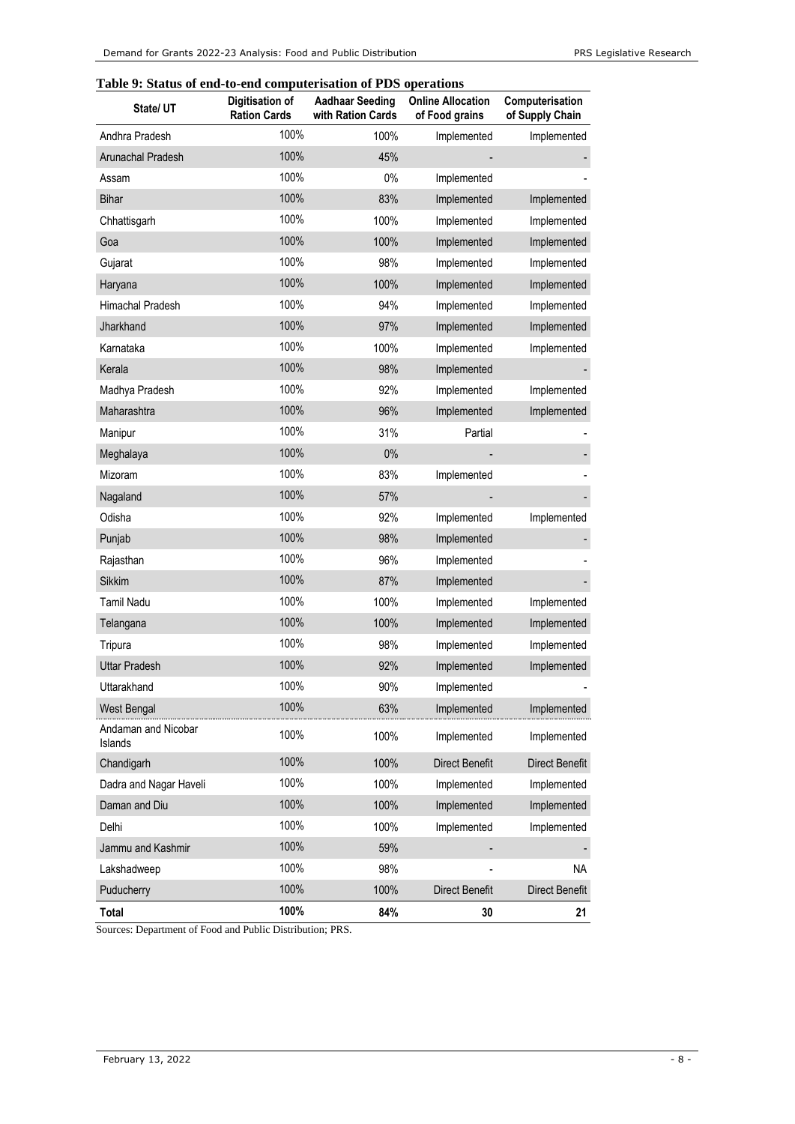# **Table 9: Status of end-to-end computerisation of PDS operations**

| State/ UT                      | Digitisation of<br><b>Ration Cards</b> | <b>Aadhaar Seeding</b><br>with Ration Cards | <b>Online Allocation</b><br>of Food grains | Computerisation<br>of Supply Chain |
|--------------------------------|----------------------------------------|---------------------------------------------|--------------------------------------------|------------------------------------|
| Andhra Pradesh                 | 100%                                   | 100%                                        | Implemented                                | Implemented                        |
| Arunachal Pradesh              | 100%                                   | 45%                                         |                                            |                                    |
| Assam                          | 100%                                   | 0%                                          | Implemented                                |                                    |
| <b>Bihar</b>                   | 100%                                   | 83%                                         | Implemented                                | Implemented                        |
| Chhattisgarh                   | 100%                                   | 100%                                        | Implemented                                | Implemented                        |
| Goa                            | 100%                                   | 100%                                        | Implemented                                | Implemented                        |
| Gujarat                        | 100%                                   | 98%                                         | Implemented                                | Implemented                        |
| Haryana                        | 100%                                   | 100%                                        | Implemented                                | Implemented                        |
| Himachal Pradesh               | 100%                                   | 94%                                         | Implemented                                | Implemented                        |
| Jharkhand                      | 100%                                   | 97%                                         | Implemented                                | Implemented                        |
| Karnataka                      | 100%                                   | 100%                                        | Implemented                                | Implemented                        |
| Kerala                         | 100%                                   | 98%                                         | Implemented                                |                                    |
| Madhya Pradesh                 | 100%                                   | 92%                                         | Implemented                                | Implemented                        |
| Maharashtra                    | 100%                                   | 96%                                         | Implemented                                | Implemented                        |
| Manipur                        | 100%                                   | 31%                                         | Partial                                    |                                    |
| Meghalaya                      | 100%                                   | 0%                                          |                                            |                                    |
| Mizoram                        | 100%                                   | 83%                                         | Implemented                                |                                    |
| Nagaland                       | 100%                                   | 57%                                         |                                            |                                    |
| Odisha                         | 100%                                   | 92%                                         | Implemented                                | Implemented                        |
| Punjab                         | 100%                                   | 98%                                         | Implemented                                |                                    |
| Rajasthan                      | 100%                                   | 96%                                         | Implemented                                |                                    |
| <b>Sikkim</b>                  | 100%                                   | 87%                                         | Implemented                                |                                    |
| <b>Tamil Nadu</b>              | 100%                                   | 100%                                        | Implemented                                | Implemented                        |
| Telangana                      | 100%                                   | 100%                                        | Implemented                                | Implemented                        |
| Tripura                        | 100%                                   | 98%                                         | Implemented                                | Implemented                        |
| <b>Uttar Pradesh</b>           | 100%                                   | 92%                                         | Implemented                                | Implemented                        |
| Uttarakhand                    | 100%                                   | 90%                                         | Implemented                                |                                    |
| <b>West Bengal</b>             | 100%                                   | 63%                                         | Implemented                                | Implemented                        |
| Andaman and Nicobar<br>Islands | 100%                                   | 100%                                        | Implemented                                | Implemented                        |
| Chandigarh                     | 100%                                   | 100%                                        | Direct Benefit                             | Direct Benefit                     |
| Dadra and Nagar Haveli         | 100%                                   | 100%                                        | Implemented                                | Implemented                        |
| Daman and Diu                  | 100%                                   | 100%                                        | Implemented                                | Implemented                        |
| Delhi                          | 100%                                   | 100%                                        | Implemented                                | Implemented                        |
| Jammu and Kashmir              | 100%                                   | 59%                                         |                                            |                                    |
| Lakshadweep                    | 100%                                   | 98%                                         |                                            | <b>NA</b>                          |
| Puducherry                     | 100%                                   | 100%                                        | <b>Direct Benefit</b>                      | Direct Benefit                     |
| Total                          | 100%                                   | 84%                                         | 30                                         | 21                                 |

Sources: Department of Food and Public Distribution; PRS.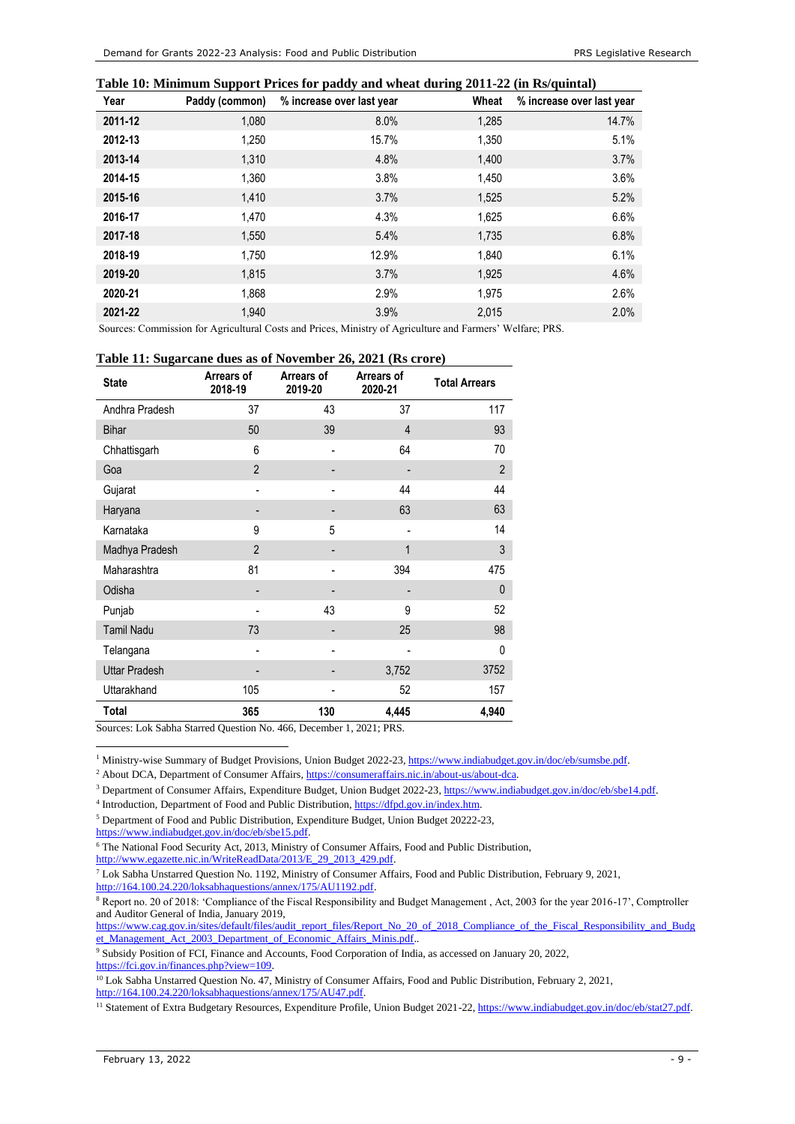#### **Table 10: Minimum Support Prices for paddy and wheat during 2011-22 (in Rs/quintal)**

| Year    | Paddy (common) | % increase over last year | Wheat | % increase over last year |
|---------|----------------|---------------------------|-------|---------------------------|
| 2011-12 | 1,080          | 8.0%                      | 1,285 | 14.7%                     |
| 2012-13 | 1,250          | 15.7%                     | 1,350 | 5.1%                      |
| 2013-14 | 1,310          | 4.8%                      | 1,400 | 3.7%                      |
| 2014-15 | 1,360          | 3.8%                      | 1,450 | 3.6%                      |
| 2015-16 | 1,410          | 3.7%                      | 1,525 | 5.2%                      |
| 2016-17 | 1,470          | 4.3%                      | 1,625 | 6.6%                      |
| 2017-18 | 1,550          | 5.4%                      | 1,735 | 6.8%                      |
| 2018-19 | 1.750          | 12.9%                     | 1,840 | 6.1%                      |
| 2019-20 | 1,815          | 3.7%                      | 1,925 | 4.6%                      |
| 2020-21 | 1,868          | 2.9%                      | 1,975 | 2.6%                      |
| 2021-22 | 1.940          | 3.9%                      | 2,015 | 2.0%                      |

Sources: Commission for Agricultural Costs and Prices, Ministry of Agriculture and Farmers' Welfare; PRS.

#### **Table 11: Sugarcane dues as of November 26, 2021 (Rs crore)**

| <b>State</b>         | Arrears of<br>2018-19 | Arrears of<br>2019-20 | Arrears of<br>2020-21 | <b>Total Arrears</b> |
|----------------------|-----------------------|-----------------------|-----------------------|----------------------|
| Andhra Pradesh       | 37                    | 43                    | 37                    | 117                  |
| <b>Bihar</b>         | 50                    | 39                    | $\overline{4}$        | 93                   |
| Chhattisgarh         | 6                     |                       | 64                    | 70                   |
| Goa                  | $\overline{2}$        |                       |                       | $\overline{2}$       |
| Gujarat              |                       |                       | 44                    | 44                   |
| Haryana              |                       |                       | 63                    | 63                   |
| Karnataka            | 9                     | 5                     |                       | 14                   |
| Madhya Pradesh       | $\overline{2}$        |                       | 1                     | 3                    |
| Maharashtra          | 81                    |                       | 394                   | 475                  |
| Odisha               |                       |                       |                       | $\mathbf 0$          |
| Punjab               |                       | 43                    | 9                     | 52                   |
| <b>Tamil Nadu</b>    | 73                    |                       | 25                    | 98                   |
| Telangana            |                       |                       |                       | $\mathbf{0}$         |
| <b>Uttar Pradesh</b> |                       |                       | 3,752                 | 3752                 |
| Uttarakhand          | 105                   |                       | 52                    | 157                  |
| Total                | 365                   | 130                   | 4,445                 | 4,940                |

Sources: Lok Sabha Starred Question No. 466, December 1, 2021; PRS.

<sup>1</sup> Ministry-wise Summary of Budget Provisions, Union Budget 2022-23, [https://www.indiabudget.gov.in/doc/eb/sumsbe.pdf.](https://www.indiabudget.gov.in/doc/eb/sumsbe.pdf)

<sup>2</sup> About DCA, Department of Consumer Affairs[, https://consumeraffairs.nic.in/about-us/about-dca.](https://consumeraffairs.nic.in/about-us/about-dca)

<sup>3</sup> Department of Consumer Affairs, Expenditure Budget, Union Budget 2022-23, [https://www.indiabudget.gov.in/doc/eb/sbe14.pdf.](https://www.indiabudget.gov.in/doc/eb/sbe14.pdf)

<sup>4</sup> Introduction, Department of Food and Public Distribution[, https://dfpd.gov.in/index.htm.](https://dfpd.gov.in/index.htm)

<sup>5</sup> Department of Food and Public Distribution, Expenditure Budget, Union Budget 20222-23,

[https://www.indiabudget.gov.in/doc/eb/sbe15.pdf.](https://www.indiabudget.gov.in/doc/eb/sbe15.pdf)

[http://www.egazette.nic.in/WriteReadData/2013/E\\_29\\_2013\\_429.pdf.](http://www.egazette.nic.in/WriteReadData/2013/E_29_2013_429.pdf)

<sup>7</sup> Lok Sabha Unstarred Question No. 1192, Ministry of Consumer Affairs, Food and Public Distribution, February 9, 2021, [http://164.100.24.220/loksabhaquestions/annex/175/AU1192.pdf.](http://164.100.24.220/loksabhaquestions/annex/175/AU1192.pdf)

<sup>8</sup> Report no. 20 of 2018: 'Compliance of the Fiscal Responsibility and Budget Management, Act, 2003 for the year 2016-17', Comptroller and Auditor General of India, January 2019,

[https://www.cag.gov.in/sites/default/files/audit\\_report\\_files/Report\\_No\\_20\\_of\\_2018\\_Compliance\\_of\\_the\\_Fiscal\\_Responsibility\\_and\\_Budg](https://www.cag.gov.in/sites/default/files/audit_report_files/Report_No_20_of_2018_Compliance_of_the_Fiscal_Responsibility_and_Budget_Management_Act_2003_Department_of_Economic_Affairs_Minis.pdf) [et\\_Management\\_Act\\_2003\\_Department\\_of\\_Economic\\_Affairs\\_Minis.pdf.](https://www.cag.gov.in/sites/default/files/audit_report_files/Report_No_20_of_2018_Compliance_of_the_Fiscal_Responsibility_and_Budget_Management_Act_2003_Department_of_Economic_Affairs_Minis.pdf).

<sup>9</sup> Subsidy Position of FCI, Finance and Accounts, Food Corporation of India, as accessed on January 20, 2022, [https://fci.gov.in/finances.php?view=109.](https://fci.gov.in/finances.php?view=109) 

<sup>10</sup> Lok Sabha Unstarred Question No. 47, Ministry of Consumer Affairs, Food and Public Distribution, February 2, 2021, [http://164.100.24.220/loksabhaquestions/annex/175/AU47.pdf.](http://164.100.24.220/loksabhaquestions/annex/175/AU47.pdf)

<sup>11</sup> Statement of Extra Budgetary Resources, Expenditure Profile, Union Budget 2021-22[, https://www.indiabudget.gov.in/doc/eb/stat27.pdf.](https://www.indiabudget.gov.in/doc/eb/stat27.pdf)

<sup>6</sup> The National Food Security Act, 2013, Ministry of Consumer Affairs, Food and Public Distribution,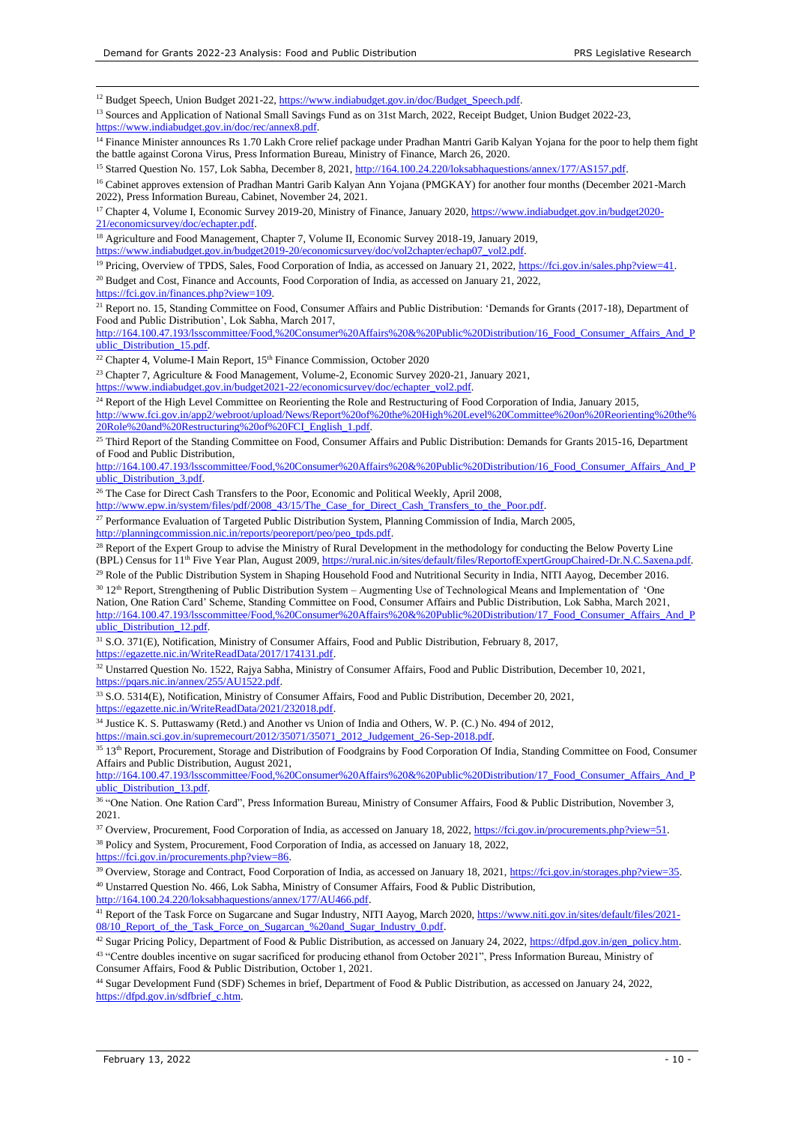<sup>12</sup> Budget Speech, Union Budget 2021-22[, https://www.indiabudget.gov.in/doc/Budget\\_Speech.pdf.](https://www.indiabudget.gov.in/doc/Budget_Speech.pdf)

<sup>13</sup> Sources and Application of National Small Savings Fund as on 31st March, 2022, Receipt Budget, Union Budget 2022-23, [https://www.indiabudget.gov.in/doc/rec/annex8.pdf.](https://www.indiabudget.gov.in/doc/rec/annex8.pdf) 

<sup>14</sup> Finance Minister announces Rs 1.70 Lakh Crore relief package under Pradhan Mantri Garib Kalyan Yojana for the poor to help them fight the battle against Corona Virus, Press Information Bureau, Ministry of Finance, March 26, 2020.

<sup>15</sup> Starred Question No. 157, Lok Sabha, December 8, 2021[, http://164.100.24.220/loksabhaquestions/annex/177/AS157.pdf.](http://164.100.24.220/loksabhaquestions/annex/177/AS157.pdf) 

<sup>16</sup> Cabinet approves extension of Pradhan Mantri Garib Kalyan Ann Yojana (PMGKAY) for another four months (December 2021-March 2022), Press Information Bureau, Cabinet, November 24, 2021.

<sup>17</sup> Chapter 4, Volume I, Economic Survey 2019-20, Ministry of Finance, January 2020[, https://www.indiabudget.gov.in/budget2020-](https://www.indiabudget.gov.in/budget2020-21/economicsurvey/doc/echapter.pdf) [21/economicsurvey/doc/echapter.pdf.](https://www.indiabudget.gov.in/budget2020-21/economicsurvey/doc/echapter.pdf) 

<sup>18</sup> Agriculture and Food Management, Chapter 7, Volume II, Economic Survey 2018-19, January 2019,

[https://www.indiabudget.gov.in/budget2019-20/economicsurvey/doc/vol2chapter/echap07\\_vol2.pdf.](https://www.indiabudget.gov.in/budget2019-20/economicsurvey/doc/vol2chapter/echap07_vol2.pdf) 

<sup>19</sup> Pricing, Overview of TPDS, Sales, Food Corporation of India, as accessed on January 21, 2022[, https://fci.gov.in/sales.php?view=41.](https://fci.gov.in/sales.php?view=41)

<sup>20</sup> Budget and Cost, Finance and Accounts, Food Corporation of India, as accessed on January 21, 2022, [https://fci.gov.in/finances.php?view=109.](https://fci.gov.in/finances.php?view=109) 

<sup>21</sup> Report no. 15, Standing Committee on Food, Consumer Affairs and Public Distribution: 'Demands for Grants (2017-18), Department of Food and Public Distribution', Lok Sabha, March 2017,

[http://164.100.47.193/lsscommittee/Food,%20Consumer%20Affairs%20&%20Public%20Distribution/16\\_Food\\_Consumer\\_Affairs\\_And\\_P](http://164.100.47.193/lsscommittee/Food,%20Consumer%20Affairs%20&%20Public%20Distribution/16_Food_Consumer_Affairs_And_Public_Distribution_15.pdf) [ublic\\_Distribution\\_15.pdf.](http://164.100.47.193/lsscommittee/Food,%20Consumer%20Affairs%20&%20Public%20Distribution/16_Food_Consumer_Affairs_And_Public_Distribution_15.pdf)

<sup>22</sup> Chapter 4, Volume-I Main Report, 15<sup>th</sup> Finance Commission, October 2020

<sup>23</sup> Chapter 7, Agriculture & Food Management, Volume-2, Economic Survey 2020-21, January 2021,

[https://www.indiabudget.gov.in/budget2021-22/economicsurvey/doc/echapter\\_vol2.pdf.](https://www.indiabudget.gov.in/budget2021-22/economicsurvey/doc/echapter_vol2.pdf)

<sup>24</sup> Report of the High Level Committee on Reorienting the Role and Restructuring of Food Corporation of India, January 2015, [http://www.fci.gov.in/app2/webroot/upload/News/Report%20of%20the%20High%20Level%20Committee%20on%20Reorienting%20the%](http://www.fci.gov.in/app2/webroot/upload/News/Report%20of%20the%20High%20Level%20Committee%20on%20Reorienting%20the%20Role%20and%20Restructuring%20of%20FCI_English_1.pdf) [20Role%20and%20Restructuring%20of%20FCI\\_English\\_1.pdf.](http://www.fci.gov.in/app2/webroot/upload/News/Report%20of%20the%20High%20Level%20Committee%20on%20Reorienting%20the%20Role%20and%20Restructuring%20of%20FCI_English_1.pdf)

<sup>25</sup> Third Report of the Standing Committee on Food, Consumer Affairs and Public Distribution: Demands for Grants 2015-16, Department of Food and Public Distribution,

[http://164.100.47.193/lsscommittee/Food,%20Consumer%20Affairs%20&%20Public%20Distribution/16\\_Food\\_Consumer\\_Affairs\\_And\\_P](http://164.100.47.193/lsscommittee/Food,%20Consumer%20Affairs%20&%20Public%20Distribution/16_Food_Consumer_Affairs_And_Public_Distribution_3.pdf) ublic Distribution 3.pdf.

<sup>26</sup> The Case for Direct Cash Transfers to the Poor, Economic and Political Weekly, April 2008,

http://www.epw.in/system/files/pdf/2008\_43/15/The\_Case\_for\_Direct\_Cash\_Transfers\_to\_the\_Poor.pdf.

<sup>27</sup> Performance Evaluation of Targeted Public Distribution System, Planning Commission of India, March 2005, [http://planningcommission.nic.in/reports/peoreport/peo/peo\\_tpds.pdf.](http://planningcommission.nic.in/reports/peoreport/peo/peo_tpds.pdf) 

<sup>28</sup> Report of the Expert Group to advise the Ministry of Rural Development in the methodology for conducting the Below Poverty Line (BPL) Census for 11<sup>th</sup> Five Year Plan, August 2009, https://rural.nic.in/sites/default/files/ReportofExpertGroupChaired-Dr.N.C.Saxena.pdf.

<sup>29</sup> Role of the Public Distribution System in Shaping Household Food and Nutritional Security in India, NITI Aayog, December 2016.

<sup>30</sup> 12<sup>th</sup> Report, Strengthening of Public Distribution System – Augmenting Use of Technological Means and Implementation of 'One Nation, One Ration Card' Scheme, Standing Committee on Food, Consumer Affairs and Public Distribution, Lok Sabha, March 2021, [http://164.100.47.193/lsscommittee/Food,%20Consumer%20Affairs%20&%20Public%20Distribution/17\\_Food\\_Consumer\\_Affairs\\_And\\_P](http://164.100.47.193/lsscommittee/Food,%20Consumer%20Affairs%20&%20Public%20Distribution/17_Food_Consumer_Affairs_And_Public_Distribution_12.pdf) ublic\_Distribution\_12.pdf.

<sup>31</sup> S.O. 371(E), Notification, Ministry of Consumer Affairs, Food and Public Distribution, February 8, 2017,

[https://egazette.nic.in/WriteReadData/2017/174131.pdf.](https://egazette.nic.in/WriteReadData/2017/174131.pdf) 

<sup>32</sup> Unstarred Ouestion No. 1522, Rajya Sabha, Ministry of Consumer Affairs, Food and Public Distribution, December 10, 2021, [https://pqars.nic.in/annex/255/AU1522.pdf.](https://pqars.nic.in/annex/255/AU1522.pdf) 

<sup>33</sup> S.O. 5314(E), Notification, Ministry of Consumer Affairs, Food and Public Distribution, December 20, 2021, [https://egazette.nic.in/WriteReadData/2021/232018.pdf.](https://egazette.nic.in/WriteReadData/2021/232018.pdf) 

<sup>34</sup> Justice K. S. Puttaswamy (Retd.) and Another vs Union of India and Others, W. P. (C.) No. 494 of 2012,

[https://main.sci.gov.in/supremecourt/2012/35071/35071\\_2012\\_Judgement\\_26-Sep-2018.pdf.](https://main.sci.gov.in/supremecourt/2012/35071/35071_2012_Judgement_26-Sep-2018.pdf) 

<sup>35</sup> 13<sup>th</sup> Report, Procurement, Storage and Distribution of Foodgrains by Food Corporation Of India, Standing Committee on Food, Consumer Affairs and Public Distribution, August 2021,

[http://164.100.47.193/lsscommittee/Food,%20Consumer%20Affairs%20&%20Public%20Distribution/17\\_Food\\_Consumer\\_Affairs\\_And\\_P](http://164.100.47.193/lsscommittee/Food,%20Consumer%20Affairs%20&%20Public%20Distribution/17_Food_Consumer_Affairs_And_Public_Distribution_13.pdf) [ublic\\_Distribution\\_13.pdf.](http://164.100.47.193/lsscommittee/Food,%20Consumer%20Affairs%20&%20Public%20Distribution/17_Food_Consumer_Affairs_And_Public_Distribution_13.pdf) 

<sup>36</sup> "One Nation. One Ration Card", Press Information Bureau, Ministry of Consumer Affairs, Food & Public Distribution, November 3, 2021.

<sup>37</sup> Overview, Procurement, Food Corporation of India, as accessed on January 18, 2022, https://fci.gov.in/procurements.php?view=51. <sup>38</sup> Policy and System, Procurement, Food Corporation of India, as accessed on January 18, 2022,

[https://fci.gov.in/procurements.php?view=86.](https://fci.gov.in/procurements.php?view=86) 

<sup>39</sup> Overview, Storage and Contract, Food Corporation of India, as accessed on January 18, 2021, [https://fci.gov.in/storages.php?view=35.](https://fci.gov.in/storages.php?view=35)  <sup>40</sup> Unstarred Question No. 466, Lok Sabha, Ministry of Consumer Affairs, Food & Public Distribution, [http://164.100.24.220/loksabhaquestions/annex/177/AU466.pdf.](http://164.100.24.220/loksabhaquestions/annex/177/AU466.pdf)

<sup>41</sup> Report of the Task Force on Sugarcane and Sugar Industry, NITI Aayog, March 2020[, https://www.niti.gov.in/sites/default/files/2021-](https://www.niti.gov.in/sites/default/files/2021-08/10_Report_of_the_Task_Force_on_Sugarcan_%20and_Sugar_Industry_0.pdf) 08/10 Report of the Task Force on Sugarcan %20and Sugar Industry 0.pdf.

<sup>42</sup> Sugar Pricing Policy, Department of Food & Public Distribution, as accessed on January 24, 2022, https://dfpd.gov.in/gen\_policy.htm.

<sup>43</sup> "Centre doubles incentive on sugar sacrificed for producing ethanol from October 2021", Press Information Bureau, Ministry of Consumer Affairs, Food & Public Distribution, October 1, 2021.

<sup>44</sup> Sugar Development Fund (SDF) Schemes in brief, Department of Food & Public Distribution, as accessed on January 24, 2022, [https://dfpd.gov.in/sdfbrief\\_c.htm.](https://dfpd.gov.in/sdfbrief_c.htm)